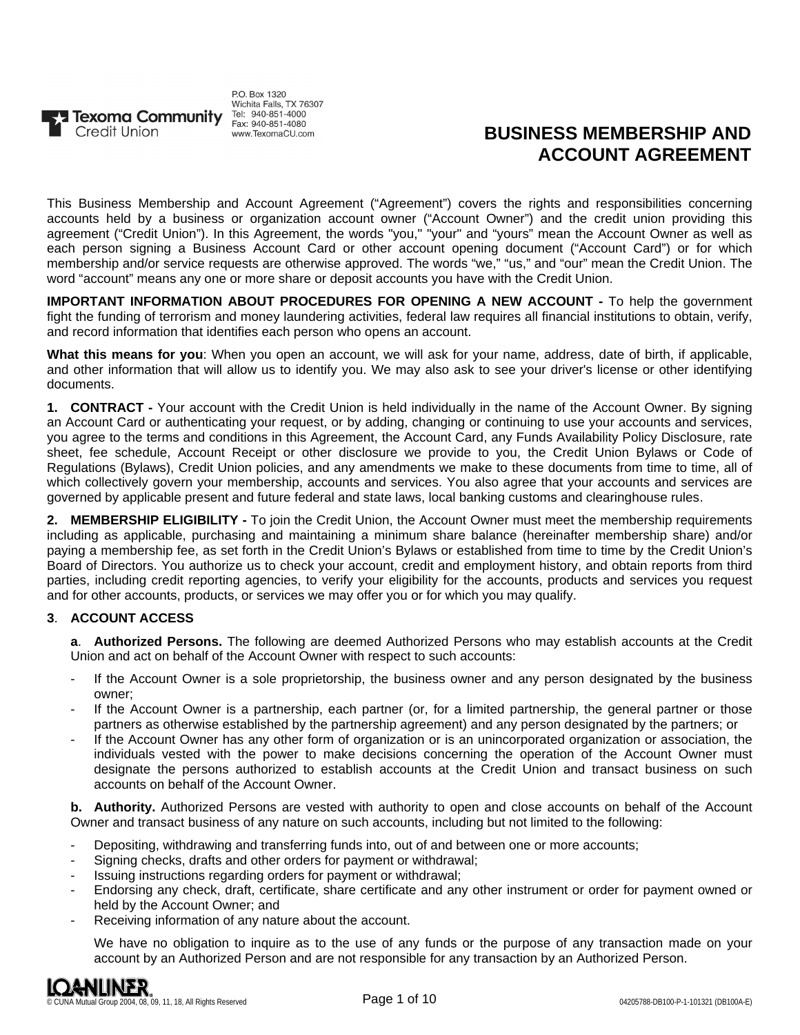

P.O. Box 1320 Wichita Falls, TX 76307 www.TexomaCU.com

# **BUSINESS MEMBERSHIP AND ACCOUNT AGREEMENT**

This Business Membership and Account Agreement ("Agreement") covers the rights and responsibilities concerning accounts held by a business or organization account owner ("Account Owner") and the credit union providing this agreement ("Credit Union"). In this Agreement, the words "you," "your" and "yours" mean the Account Owner as well as each person signing a Business Account Card or other account opening document ("Account Card") or for which membership and/or service requests are otherwise approved. The words "we," "us," and "our" mean the Credit Union. The word "account" means any one or more share or deposit accounts you have with the Credit Union.

**IMPORTANT INFORMATION ABOUT PROCEDURES FOR OPENING A NEW ACCOUNT -** To help the government fight the funding of terrorism and money laundering activities, federal law requires all financial institutions to obtain, verify, and record information that identifies each person who opens an account.

**What this means for you**: When you open an account, we will ask for your name, address, date of birth, if applicable, and other information that will allow us to identify you. We may also ask to see your driver's license or other identifying documents.

**1. CONTRACT -** Your account with the Credit Union is held individually in the name of the Account Owner. By signing an Account Card or authenticating your request, or by adding, changing or continuing to use your accounts and services, you agree to the terms and conditions in this Agreement, the Account Card, any Funds Availability Policy Disclosure, rate sheet, fee schedule, Account Receipt or other disclosure we provide to you, the Credit Union Bylaws or Code of Regulations (Bylaws), Credit Union policies, and any amendments we make to these documents from time to time, all of which collectively govern your membership, accounts and services. You also agree that your accounts and services are governed by applicable present and future federal and state laws, local banking customs and clearinghouse rules.

**2. MEMBERSHIP ELIGIBILITY -** To join the Credit Union, the Account Owner must meet the membership requirements including as applicable, purchasing and maintaining a minimum share balance (hereinafter membership share) and/or paying a membership fee, as set forth in the Credit Union's Bylaws or established from time to time by the Credit Union's Board of Directors. You authorize us to check your account, credit and employment history, and obtain reports from third parties, including credit reporting agencies, to verify your eligibility for the accounts, products and services you request and for other accounts, products, or services we may offer you or for which you may qualify.

## **3**. **ACCOUNT ACCESS**

**a**. **Authorized Persons.** The following are deemed Authorized Persons who may establish accounts at the Credit Union and act on behalf of the Account Owner with respect to such accounts:

- If the Account Owner is a sole proprietorship, the business owner and any person designated by the business owner;
- If the Account Owner is a partnership, each partner (or, for a limited partnership, the general partner or those partners as otherwise established by the partnership agreement) and any person designated by the partners; or
- If the Account Owner has any other form of organization or is an unincorporated organization or association, the individuals vested with the power to make decisions concerning the operation of the Account Owner must designate the persons authorized to establish accounts at the Credit Union and transact business on such accounts on behalf of the Account Owner.

**b. Authority.** Authorized Persons are vested with authority to open and close accounts on behalf of the Account Owner and transact business of any nature on such accounts, including but not limited to the following:

- Depositing, withdrawing and transferring funds into, out of and between one or more accounts;
- Signing checks, drafts and other orders for payment or withdrawal;
- Issuing instructions regarding orders for payment or withdrawal;
- Endorsing any check, draft, certificate, share certificate and any other instrument or order for payment owned or held by the Account Owner; and
- Receiving information of any nature about the account.

We have no obligation to inquire as to the use of any funds or the purpose of any transaction made on your account by an Authorized Person and are not responsible for any transaction by an Authorized Person.

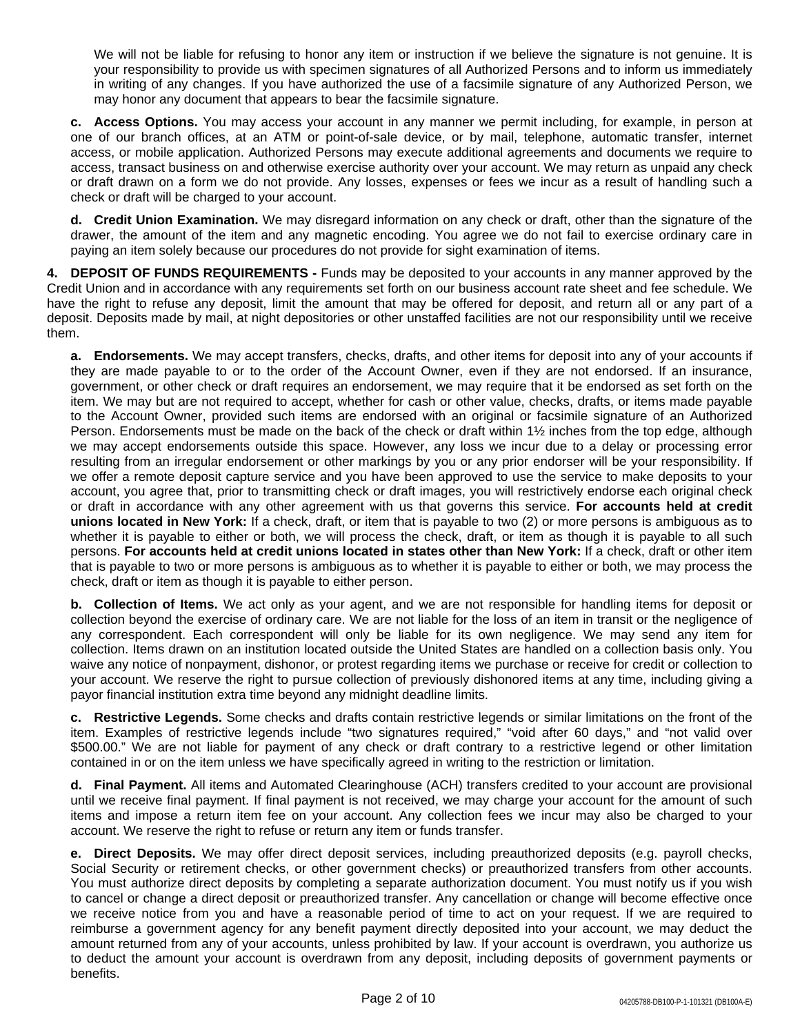We will not be liable for refusing to honor any item or instruction if we believe the signature is not genuine. It is your responsibility to provide us with specimen signatures of all Authorized Persons and to inform us immediately in writing of any changes. If you have authorized the use of a facsimile signature of any Authorized Person, we may honor any document that appears to bear the facsimile signature.

**c. Access Options.** You may access your account in any manner we permit including, for example, in person at one of our branch offices, at an ATM or point-of-sale device, or by mail, telephone, automatic transfer, internet access, or mobile application. Authorized Persons may execute additional agreements and documents we require to access, transact business on and otherwise exercise authority over your account. We may return as unpaid any check or draft drawn on a form we do not provide. Any losses, expenses or fees we incur as a result of handling such a check or draft will be charged to your account.

**d. Credit Union Examination.** We may disregard information on any check or draft, other than the signature of the drawer, the amount of the item and any magnetic encoding. You agree we do not fail to exercise ordinary care in paying an item solely because our procedures do not provide for sight examination of items.

**4. DEPOSIT OF FUNDS REQUIREMENTS -** Funds may be deposited to your accounts in any manner approved by the Credit Union and in accordance with any requirements set forth on our business account rate sheet and fee schedule. We have the right to refuse any deposit, limit the amount that may be offered for deposit, and return all or any part of a deposit. Deposits made by mail, at night depositories or other unstaffed facilities are not our responsibility until we receive them.

**a. Endorsements.** We may accept transfers, checks, drafts, and other items for deposit into any of your accounts if they are made payable to or to the order of the Account Owner, even if they are not endorsed. If an insurance, government, or other check or draft requires an endorsement, we may require that it be endorsed as set forth on the item. We may but are not required to accept, whether for cash or other value, checks, drafts, or items made payable to the Account Owner, provided such items are endorsed with an original or facsimile signature of an Authorized Person. Endorsements must be made on the back of the check or draft within 1½ inches from the top edge, although we may accept endorsements outside this space. However, any loss we incur due to a delay or processing error resulting from an irregular endorsement or other markings by you or any prior endorser will be your responsibility. If we offer a remote deposit capture service and you have been approved to use the service to make deposits to your account, you agree that, prior to transmitting check or draft images, you will restrictively endorse each original check or draft in accordance with any other agreement with us that governs this service. **For accounts held at credit unions located in New York:** If a check, draft, or item that is payable to two (2) or more persons is ambiguous as to whether it is payable to either or both, we will process the check, draft, or item as though it is payable to all such persons. **For accounts held at credit unions located in states other than New York:** If a check, draft or other item that is payable to two or more persons is ambiguous as to whether it is payable to either or both, we may process the check, draft or item as though it is payable to either person.

**b. Collection of Items.** We act only as your agent, and we are not responsible for handling items for deposit or collection beyond the exercise of ordinary care. We are not liable for the loss of an item in transit or the negligence of any correspondent. Each correspondent will only be liable for its own negligence. We may send any item for collection. Items drawn on an institution located outside the United States are handled on a collection basis only. You waive any notice of nonpayment, dishonor, or protest regarding items we purchase or receive for credit or collection to your account. We reserve the right to pursue collection of previously dishonored items at any time, including giving a payor financial institution extra time beyond any midnight deadline limits.

**c. Restrictive Legends.** Some checks and drafts contain restrictive legends or similar limitations on the front of the item. Examples of restrictive legends include "two signatures required," "void after 60 days," and "not valid over \$500.00." We are not liable for payment of any check or draft contrary to a restrictive legend or other limitation contained in or on the item unless we have specifically agreed in writing to the restriction or limitation.

**d. Final Payment.** All items and Automated Clearinghouse (ACH) transfers credited to your account are provisional until we receive final payment. If final payment is not received, we may charge your account for the amount of such items and impose a return item fee on your account. Any collection fees we incur may also be charged to your account. We reserve the right to refuse or return any item or funds transfer.

**e. Direct Deposits.** We may offer direct deposit services, including preauthorized deposits (e.g. payroll checks, Social Security or retirement checks, or other government checks) or preauthorized transfers from other accounts. You must authorize direct deposits by completing a separate authorization document. You must notify us if you wish to cancel or change a direct deposit or preauthorized transfer. Any cancellation or change will become effective once we receive notice from you and have a reasonable period of time to act on your request. If we are required to reimburse a government agency for any benefit payment directly deposited into your account, we may deduct the amount returned from any of your accounts, unless prohibited by law. If your account is overdrawn, you authorize us to deduct the amount your account is overdrawn from any deposit, including deposits of government payments or benefits.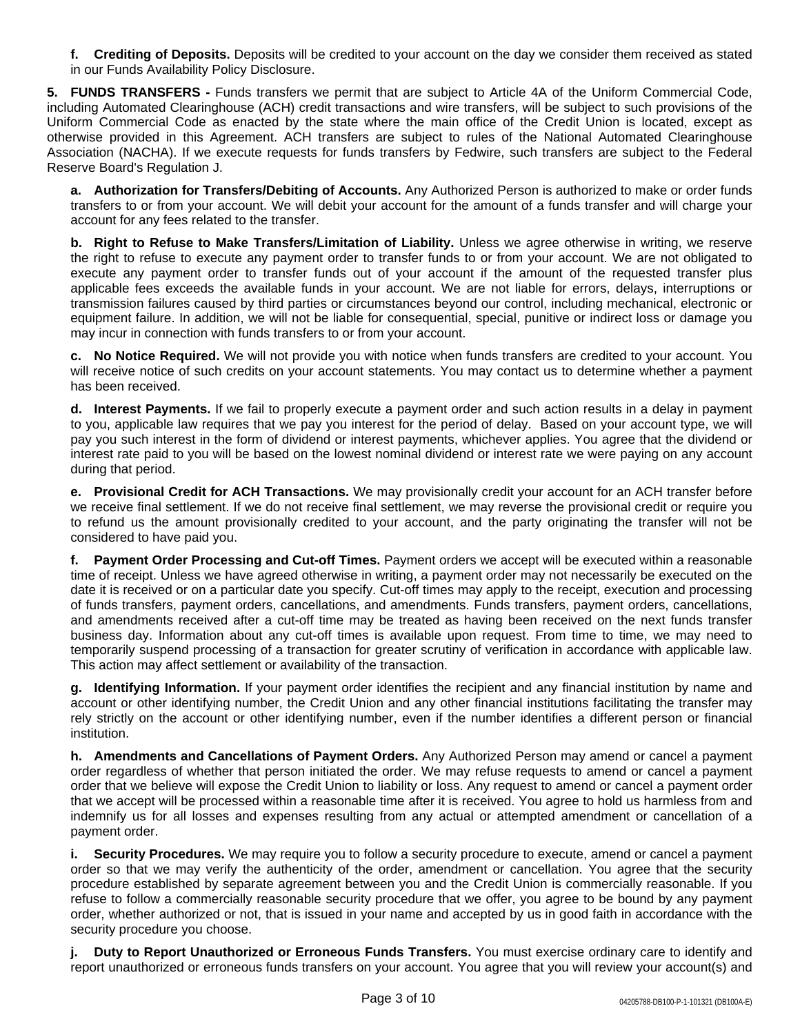**f. Crediting of Deposits.** Deposits will be credited to your account on the day we consider them received as stated in our Funds Availability Policy Disclosure.

**5. FUNDS TRANSFERS -** Funds transfers we permit that are subject to Article 4A of the Uniform Commercial Code, including Automated Clearinghouse (ACH) credit transactions and wire transfers, will be subject to such provisions of the Uniform Commercial Code as enacted by the state where the main office of the Credit Union is located, except as otherwise provided in this Agreement. ACH transfers are subject to rules of the National Automated Clearinghouse Association (NACHA). If we execute requests for funds transfers by Fedwire, such transfers are subject to the Federal Reserve Board's Regulation J.

**a. Authorization for Transfers/Debiting of Accounts.** Any Authorized Person is authorized to make or order funds transfers to or from your account. We will debit your account for the amount of a funds transfer and will charge your account for any fees related to the transfer.

**b. Right to Refuse to Make Transfers/Limitation of Liability.** Unless we agree otherwise in writing, we reserve the right to refuse to execute any payment order to transfer funds to or from your account. We are not obligated to execute any payment order to transfer funds out of your account if the amount of the requested transfer plus applicable fees exceeds the available funds in your account. We are not liable for errors, delays, interruptions or transmission failures caused by third parties or circumstances beyond our control, including mechanical, electronic or equipment failure. In addition, we will not be liable for consequential, special, punitive or indirect loss or damage you may incur in connection with funds transfers to or from your account.

**c. No Notice Required.** We will not provide you with notice when funds transfers are credited to your account. You will receive notice of such credits on your account statements. You may contact us to determine whether a payment has been received.

**d. Interest Payments.** If we fail to properly execute a payment order and such action results in a delay in payment to you, applicable law requires that we pay you interest for the period of delay. Based on your account type, we will pay you such interest in the form of dividend or interest payments, whichever applies. You agree that the dividend or interest rate paid to you will be based on the lowest nominal dividend or interest rate we were paying on any account during that period.

**e. Provisional Credit for ACH Transactions.** We may provisionally credit your account for an ACH transfer before we receive final settlement. If we do not receive final settlement, we may reverse the provisional credit or require you to refund us the amount provisionally credited to your account, and the party originating the transfer will not be considered to have paid you.

**f. Payment Order Processing and Cut-off Times.** Payment orders we accept will be executed within a reasonable time of receipt. Unless we have agreed otherwise in writing, a payment order may not necessarily be executed on the date it is received or on a particular date you specify. Cut-off times may apply to the receipt, execution and processing of funds transfers, payment orders, cancellations, and amendments. Funds transfers, payment orders, cancellations, and amendments received after a cut-off time may be treated as having been received on the next funds transfer business day. Information about any cut-off times is available upon request. From time to time, we may need to temporarily suspend processing of a transaction for greater scrutiny of verification in accordance with applicable law. This action may affect settlement or availability of the transaction.

**g. Identifying Information.** If your payment order identifies the recipient and any financial institution by name and account or other identifying number, the Credit Union and any other financial institutions facilitating the transfer may rely strictly on the account or other identifying number, even if the number identifies a different person or financial institution.

**h. Amendments and Cancellations of Payment Orders.** Any Authorized Person may amend or cancel a payment order regardless of whether that person initiated the order. We may refuse requests to amend or cancel a payment order that we believe will expose the Credit Union to liability or loss. Any request to amend or cancel a payment order that we accept will be processed within a reasonable time after it is received. You agree to hold us harmless from and indemnify us for all losses and expenses resulting from any actual or attempted amendment or cancellation of a payment order.

**i. Security Procedures.** We may require you to follow a security procedure to execute, amend or cancel a payment order so that we may verify the authenticity of the order, amendment or cancellation. You agree that the security procedure established by separate agreement between you and the Credit Union is commercially reasonable. If you refuse to follow a commercially reasonable security procedure that we offer, you agree to be bound by any payment order, whether authorized or not, that is issued in your name and accepted by us in good faith in accordance with the security procedure you choose.

**j. Duty to Report Unauthorized or Erroneous Funds Transfers.** You must exercise ordinary care to identify and report unauthorized or erroneous funds transfers on your account. You agree that you will review your account(s) and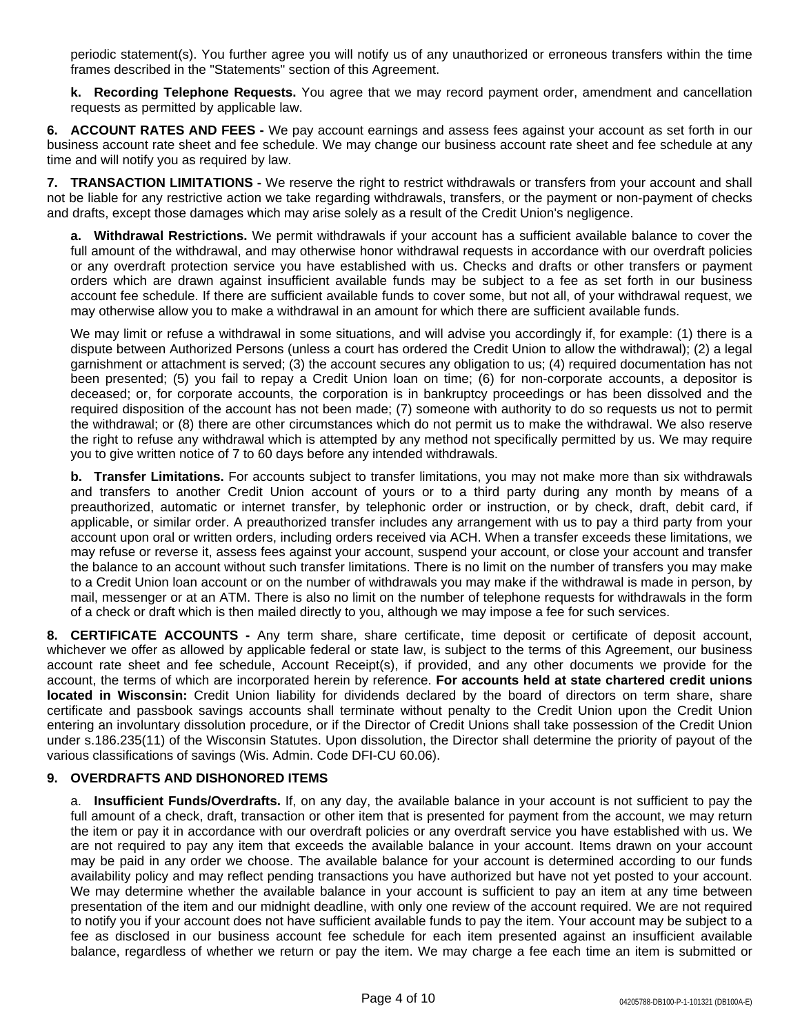periodic statement(s). You further agree you will notify us of any unauthorized or erroneous transfers within the time frames described in the "Statements" section of this Agreement.

**k. Recording Telephone Requests.** You agree that we may record payment order, amendment and cancellation requests as permitted by applicable law.

**6. ACCOUNT RATES AND FEES -** We pay account earnings and assess fees against your account as set forth in our business account rate sheet and fee schedule. We may change our business account rate sheet and fee schedule at any time and will notify you as required by law.

**7. TRANSACTION LIMITATIONS -** We reserve the right to restrict withdrawals or transfers from your account and shall not be liable for any restrictive action we take regarding withdrawals, transfers, or the payment or non-payment of checks and drafts, except those damages which may arise solely as a result of the Credit Union's negligence.

**a. Withdrawal Restrictions.** We permit withdrawals if your account has a sufficient available balance to cover the full amount of the withdrawal, and may otherwise honor withdrawal requests in accordance with our overdraft policies or any overdraft protection service you have established with us. Checks and drafts or other transfers or payment orders which are drawn against insufficient available funds may be subject to a fee as set forth in our business account fee schedule. If there are sufficient available funds to cover some, but not all, of your withdrawal request, we may otherwise allow you to make a withdrawal in an amount for which there are sufficient available funds.

We may limit or refuse a withdrawal in some situations, and will advise you accordingly if, for example: (1) there is a dispute between Authorized Persons (unless a court has ordered the Credit Union to allow the withdrawal); (2) a legal garnishment or attachment is served; (3) the account secures any obligation to us; (4) required documentation has not been presented; (5) you fail to repay a Credit Union loan on time; (6) for non-corporate accounts, a depositor is deceased; or, for corporate accounts, the corporation is in bankruptcy proceedings or has been dissolved and the required disposition of the account has not been made; (7) someone with authority to do so requests us not to permit the withdrawal; or (8) there are other circumstances which do not permit us to make the withdrawal. We also reserve the right to refuse any withdrawal which is attempted by any method not specifically permitted by us. We may require you to give written notice of 7 to 60 days before any intended withdrawals.

**b. Transfer Limitations.** For accounts subject to transfer limitations, you may not make more than six withdrawals and transfers to another Credit Union account of yours or to a third party during any month by means of a preauthorized, automatic or internet transfer, by telephonic order or instruction, or by check, draft, debit card, if applicable, or similar order. A preauthorized transfer includes any arrangement with us to pay a third party from your account upon oral or written orders, including orders received via ACH. When a transfer exceeds these limitations, we may refuse or reverse it, assess fees against your account, suspend your account, or close your account and transfer the balance to an account without such transfer limitations. There is no limit on the number of transfers you may make to a Credit Union loan account or on the number of withdrawals you may make if the withdrawal is made in person, by mail, messenger or at an ATM. There is also no limit on the number of telephone requests for withdrawals in the form of a check or draft which is then mailed directly to you, although we may impose a fee for such services.

**8. CERTIFICATE ACCOUNTS -** Any term share, share certificate, time deposit or certificate of deposit account, whichever we offer as allowed by applicable federal or state law, is subject to the terms of this Agreement, our business account rate sheet and fee schedule, Account Receipt(s), if provided, and any other documents we provide for the account, the terms of which are incorporated herein by reference. **For accounts held at state chartered credit unions located in Wisconsin:** Credit Union liability for dividends declared by the board of directors on term share, share certificate and passbook savings accounts shall terminate without penalty to the Credit Union upon the Credit Union entering an involuntary dissolution procedure, or if the Director of Credit Unions shall take possession of the Credit Union under s.186.235(11) of the Wisconsin Statutes. Upon dissolution, the Director shall determine the priority of payout of the various classifications of savings (Wis. Admin. Code DFI-CU 60.06).

## **9. OVERDRAFTS AND DISHONORED ITEMS**

a. **Insufficient Funds/Overdrafts.** If, on any day, the available balance in your account is not sufficient to pay the full amount of a check, draft, transaction or other item that is presented for payment from the account, we may return the item or pay it in accordance with our overdraft policies or any overdraft service you have established with us. We are not required to pay any item that exceeds the available balance in your account. Items drawn on your account may be paid in any order we choose. The available balance for your account is determined according to our funds availability policy and may reflect pending transactions you have authorized but have not yet posted to your account. We may determine whether the available balance in your account is sufficient to pay an item at any time between presentation of the item and our midnight deadline, with only one review of the account required. We are not required to notify you if your account does not have sufficient available funds to pay the item. Your account may be subject to a fee as disclosed in our business account fee schedule for each item presented against an insufficient available balance, regardless of whether we return or pay the item. We may charge a fee each time an item is submitted or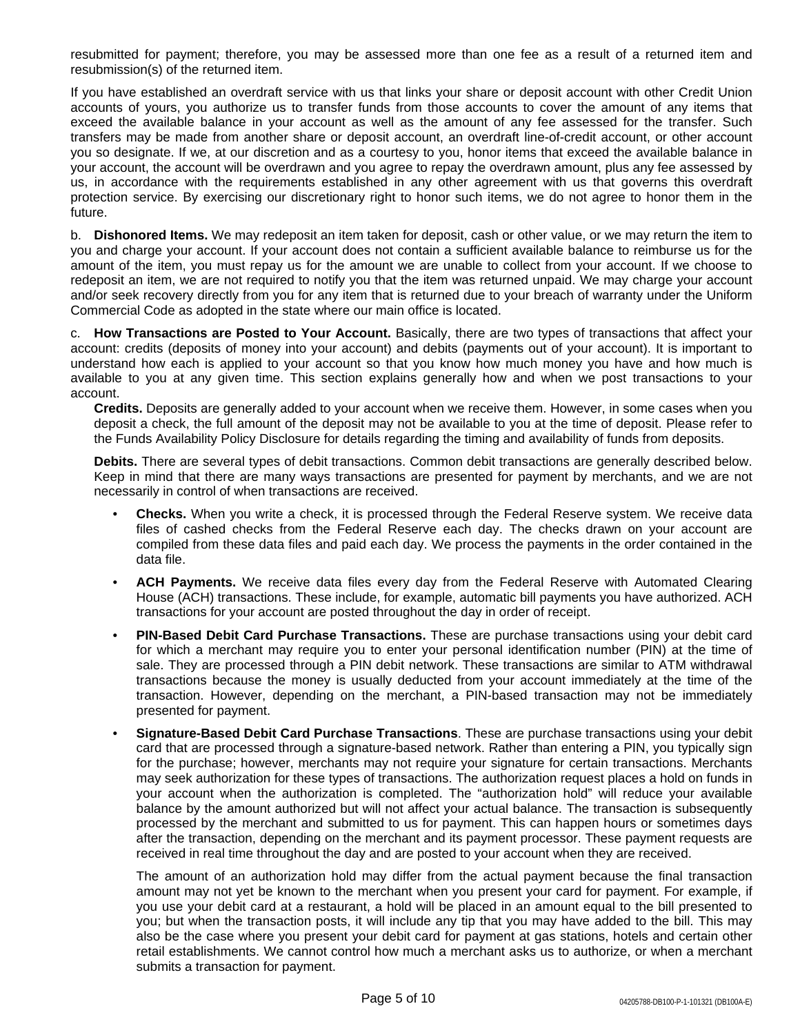resubmitted for payment; therefore, you may be assessed more than one fee as a result of a returned item and resubmission(s) of the returned item.

If you have established an overdraft service with us that links your share or deposit account with other Credit Union accounts of yours, you authorize us to transfer funds from those accounts to cover the amount of any items that exceed the available balance in your account as well as the amount of any fee assessed for the transfer. Such transfers may be made from another share or deposit account, an overdraft line-of-credit account, or other account you so designate. If we, at our discretion and as a courtesy to you, honor items that exceed the available balance in your account, the account will be overdrawn and you agree to repay the overdrawn amount, plus any fee assessed by us, in accordance with the requirements established in any other agreement with us that governs this overdraft protection service. By exercising our discretionary right to honor such items, we do not agree to honor them in the future.

b. **Dishonored Items.** We may redeposit an item taken for deposit, cash or other value, or we may return the item to you and charge your account. If your account does not contain a sufficient available balance to reimburse us for the amount of the item, you must repay us for the amount we are unable to collect from your account. If we choose to redeposit an item, we are not required to notify you that the item was returned unpaid. We may charge your account and/or seek recovery directly from you for any item that is returned due to your breach of warranty under the Uniform Commercial Code as adopted in the state where our main office is located.

c. **How Transactions are Posted to Your Account.** Basically, there are two types of transactions that affect your account: credits (deposits of money into your account) and debits (payments out of your account). It is important to understand how each is applied to your account so that you know how much money you have and how much is available to you at any given time. This section explains generally how and when we post transactions to your account.

**Credits.** Deposits are generally added to your account when we receive them. However, in some cases when you deposit a check, the full amount of the deposit may not be available to you at the time of deposit. Please refer to the Funds Availability Policy Disclosure for details regarding the timing and availability of funds from deposits.

**Debits.** There are several types of debit transactions. Common debit transactions are generally described below. Keep in mind that there are many ways transactions are presented for payment by merchants, and we are not necessarily in control of when transactions are received.

- **Checks.** When you write a check, it is processed through the Federal Reserve system. We receive data files of cashed checks from the Federal Reserve each day. The checks drawn on your account are compiled from these data files and paid each day. We process the payments in the order contained in the data file.
- **ACH Payments.** We receive data files every day from the Federal Reserve with Automated Clearing House (ACH) transactions. These include, for example, automatic bill payments you have authorized. ACH transactions for your account are posted throughout the day in order of receipt.
- **PIN-Based Debit Card Purchase Transactions.** These are purchase transactions using your debit card for which a merchant may require you to enter your personal identification number (PIN) at the time of sale. They are processed through a PIN debit network. These transactions are similar to ATM withdrawal transactions because the money is usually deducted from your account immediately at the time of the transaction. However, depending on the merchant, a PIN-based transaction may not be immediately presented for payment.
- **Signature-Based Debit Card Purchase Transactions**. These are purchase transactions using your debit card that are processed through a signature-based network. Rather than entering a PIN, you typically sign for the purchase; however, merchants may not require your signature for certain transactions. Merchants may seek authorization for these types of transactions. The authorization request places a hold on funds in your account when the authorization is completed. The "authorization hold" will reduce your available balance by the amount authorized but will not affect your actual balance. The transaction is subsequently processed by the merchant and submitted to us for payment. This can happen hours or sometimes days after the transaction, depending on the merchant and its payment processor. These payment requests are received in real time throughout the day and are posted to your account when they are received.

The amount of an authorization hold may differ from the actual payment because the final transaction amount may not yet be known to the merchant when you present your card for payment. For example, if you use your debit card at a restaurant, a hold will be placed in an amount equal to the bill presented to you; but when the transaction posts, it will include any tip that you may have added to the bill. This may also be the case where you present your debit card for payment at gas stations, hotels and certain other retail establishments. We cannot control how much a merchant asks us to authorize, or when a merchant submits a transaction for payment.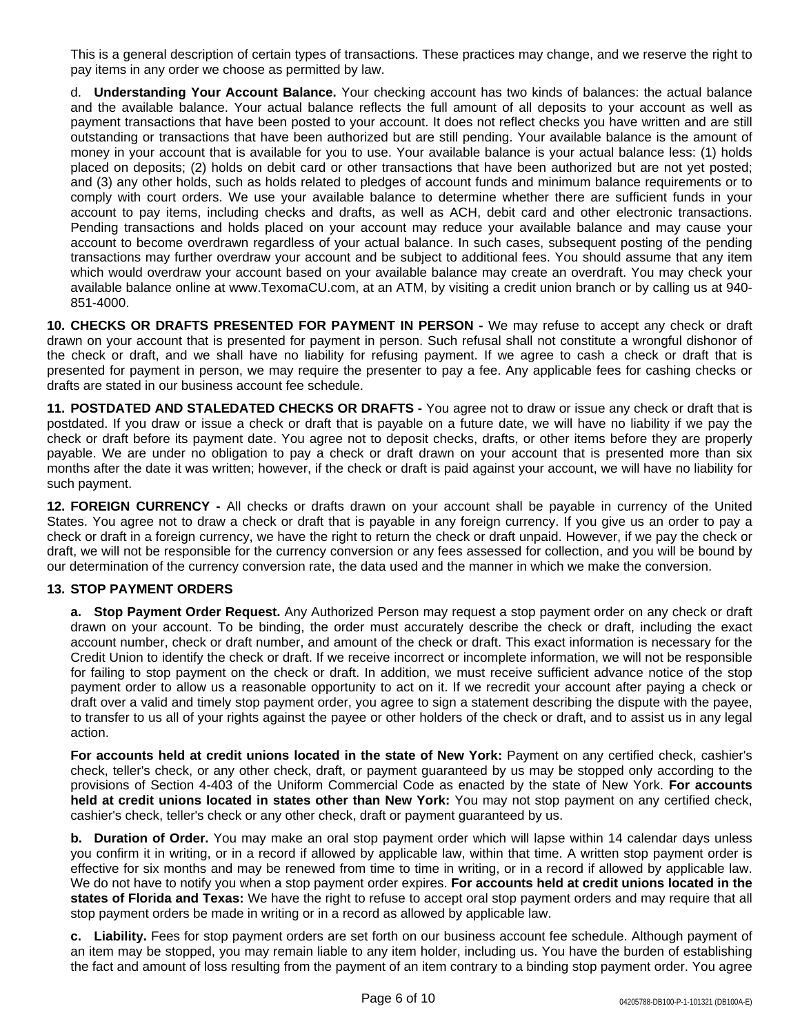This is a general description of certain types of transactions. These practices may change, and we reserve the right to pay items in any order we choose as permitted by law.

d. **Understanding Your Account Balance.** Your checking account has two kinds of balances: the actual balance and the available balance. Your actual balance reflects the full amount of all deposits to your account as well as payment transactions that have been posted to your account. It does not reflect checks you have written and are still outstanding or transactions that have been authorized but are still pending. Your available balance is the amount of money in your account that is available for you to use. Your available balance is your actual balance less: (1) holds placed on deposits; (2) holds on debit card or other transactions that have been authorized but are not yet posted; and (3) any other holds, such as holds related to pledges of account funds and minimum balance requirements or to comply with court orders. We use your available balance to determine whether there are sufficient funds in your account to pay items, including checks and drafts, as well as ACH, debit card and other electronic transactions. Pending transactions and holds placed on your account may reduce your available balance and may cause your account to become overdrawn regardless of your actual balance. In such cases, subsequent posting of the pending transactions may further overdraw your account and be subject to additional fees. You should assume that any item which would overdraw your account based on your available balance may create an overdraft. You may check your available balance online at www.TexomaCU.com, at an ATM, by visiting a credit union branch or by calling us at 940- 851-4000.

**10. CHECKS OR DRAFTS PRESENTED FOR PAYMENT IN PERSON -** We may refuse to accept any check or draft drawn on your account that is presented for payment in person. Such refusal shall not constitute a wrongful dishonor of the check or draft, and we shall have no liability for refusing payment. If we agree to cash a check or draft that is presented for payment in person, we may require the presenter to pay a fee. Any applicable fees for cashing checks or drafts are stated in our business account fee schedule.

**11. POSTDATED AND STALEDATED CHECKS OR DRAFTS -** You agree not to draw or issue any check or draft that is postdated. If you draw or issue a check or draft that is payable on a future date, we will have no liability if we pay the check or draft before its payment date. You agree not to deposit checks, drafts, or other items before they are properly payable. We are under no obligation to pay a check or draft drawn on your account that is presented more than six months after the date it was written; however, if the check or draft is paid against your account, we will have no liability for such payment.

**12. FOREIGN CURRENCY -** All checks or drafts drawn on your account shall be payable in currency of the United States. You agree not to draw a check or draft that is payable in any foreign currency. If you give us an order to pay a check or draft in a foreign currency, we have the right to return the check or draft unpaid. However, if we pay the check or draft, we will not be responsible for the currency conversion or any fees assessed for collection, and you will be bound by our determination of the currency conversion rate, the data used and the manner in which we make the conversion.

## **13. STOP PAYMENT ORDERS**

**a. Stop Payment Order Request.** Any Authorized Person may request a stop payment order on any check or draft drawn on your account. To be binding, the order must accurately describe the check or draft, including the exact account number, check or draft number, and amount of the check or draft. This exact information is necessary for the Credit Union to identify the check or draft. If we receive incorrect or incomplete information, we will not be responsible for failing to stop payment on the check or draft. In addition, we must receive sufficient advance notice of the stop payment order to allow us a reasonable opportunity to act on it. If we recredit your account after paying a check or draft over a valid and timely stop payment order, you agree to sign a statement describing the dispute with the payee, to transfer to us all of your rights against the payee or other holders of the check or draft, and to assist us in any legal action.

**For accounts held at credit unions located in the state of New York:** Payment on any certified check, cashier's check, teller's check, or any other check, draft, or payment guaranteed by us may be stopped only according to the provisions of Section 4-403 of the Uniform Commercial Code as enacted by the state of New York. **For accounts held at credit unions located in states other than New York:** You may not stop payment on any certified check, cashier's check, teller's check or any other check, draft or payment guaranteed by us.

**b. Duration of Order.** You may make an oral stop payment order which will lapse within 14 calendar days unless you confirm it in writing, or in a record if allowed by applicable law, within that time. A written stop payment order is effective for six months and may be renewed from time to time in writing, or in a record if allowed by applicable law. We do not have to notify you when a stop payment order expires. **For accounts held at credit unions located in the states of Florida and Texas:** We have the right to refuse to accept oral stop payment orders and may require that all stop payment orders be made in writing or in a record as allowed by applicable law.

**c. Liability.** Fees for stop payment orders are set forth on our business account fee schedule. Although payment of an item may be stopped, you may remain liable to any item holder, including us. You have the burden of establishing the fact and amount of loss resulting from the payment of an item contrary to a binding stop payment order. You agree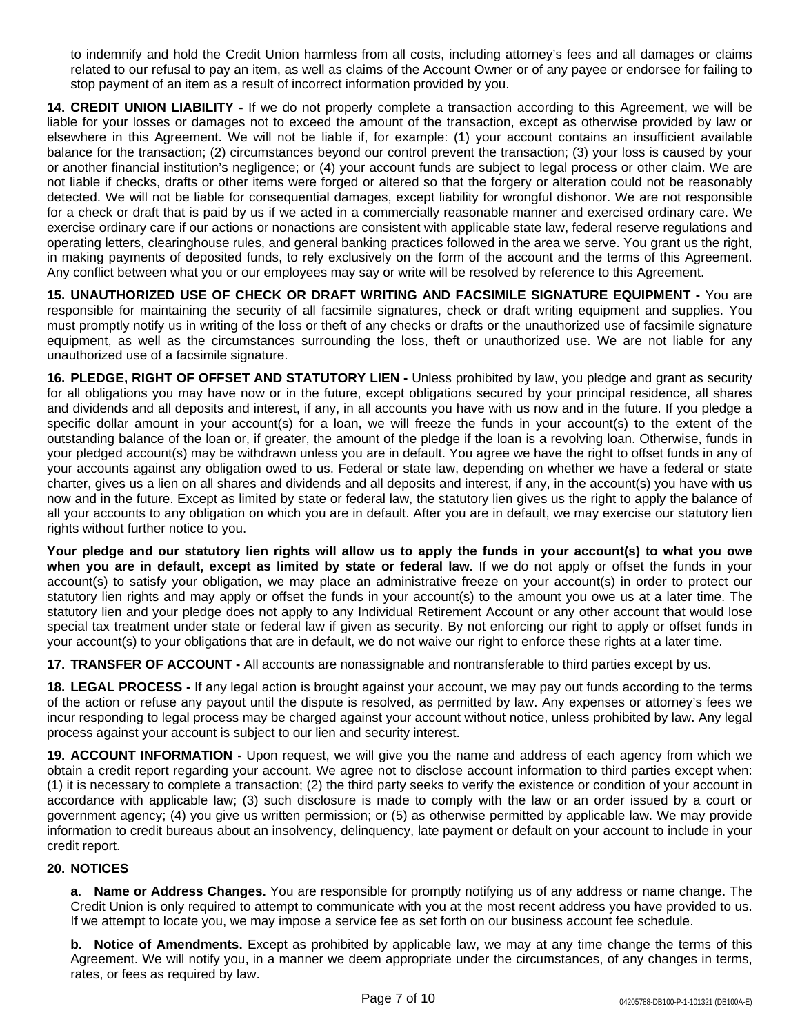to indemnify and hold the Credit Union harmless from all costs, including attorney's fees and all damages or claims related to our refusal to pay an item, as well as claims of the Account Owner or of any payee or endorsee for failing to stop payment of an item as a result of incorrect information provided by you.

**14. CREDIT UNION LIABILITY -** If we do not properly complete a transaction according to this Agreement, we will be liable for your losses or damages not to exceed the amount of the transaction, except as otherwise provided by law or elsewhere in this Agreement. We will not be liable if, for example: (1) your account contains an insufficient available balance for the transaction; (2) circumstances beyond our control prevent the transaction; (3) your loss is caused by your or another financial institution's negligence; or (4) your account funds are subject to legal process or other claim. We are not liable if checks, drafts or other items were forged or altered so that the forgery or alteration could not be reasonably detected. We will not be liable for consequential damages, except liability for wrongful dishonor. We are not responsible for a check or draft that is paid by us if we acted in a commercially reasonable manner and exercised ordinary care. We exercise ordinary care if our actions or nonactions are consistent with applicable state law, federal reserve regulations and operating letters, clearinghouse rules, and general banking practices followed in the area we serve. You grant us the right, in making payments of deposited funds, to rely exclusively on the form of the account and the terms of this Agreement. Any conflict between what you or our employees may say or write will be resolved by reference to this Agreement.

**15. UNAUTHORIZED USE OF CHECK OR DRAFT WRITING AND FACSIMILE SIGNATURE EQUIPMENT -** You are responsible for maintaining the security of all facsimile signatures, check or draft writing equipment and supplies. You must promptly notify us in writing of the loss or theft of any checks or drafts or the unauthorized use of facsimile signature equipment, as well as the circumstances surrounding the loss, theft or unauthorized use. We are not liable for any unauthorized use of a facsimile signature.

**16. PLEDGE, RIGHT OF OFFSET AND STATUTORY LIEN -** Unless prohibited by law, you pledge and grant as security for all obligations you may have now or in the future, except obligations secured by your principal residence, all shares and dividends and all deposits and interest, if any, in all accounts you have with us now and in the future. If you pledge a specific dollar amount in your account(s) for a loan, we will freeze the funds in your account(s) to the extent of the outstanding balance of the loan or, if greater, the amount of the pledge if the loan is a revolving loan. Otherwise, funds in your pledged account(s) may be withdrawn unless you are in default. You agree we have the right to offset funds in any of your accounts against any obligation owed to us. Federal or state law, depending on whether we have a federal or state charter, gives us a lien on all shares and dividends and all deposits and interest, if any, in the account(s) you have with us now and in the future. Except as limited by state or federal law, the statutory lien gives us the right to apply the balance of all your accounts to any obligation on which you are in default. After you are in default, we may exercise our statutory lien rights without further notice to you.

Your pledge and our statutory lien rights will allow us to apply the funds in your account(s) to what you owe **when you are in default, except as limited by state or federal law.** If we do not apply or offset the funds in your account(s) to satisfy your obligation, we may place an administrative freeze on your account(s) in order to protect our statutory lien rights and may apply or offset the funds in your account(s) to the amount you owe us at a later time. The statutory lien and your pledge does not apply to any Individual Retirement Account or any other account that would lose special tax treatment under state or federal law if given as security. By not enforcing our right to apply or offset funds in your account(s) to your obligations that are in default, we do not waive our right to enforce these rights at a later time.

**17. TRANSFER OF ACCOUNT -** All accounts are nonassignable and nontransferable to third parties except by us.

**18. LEGAL PROCESS -** If any legal action is brought against your account, we may pay out funds according to the terms of the action or refuse any payout until the dispute is resolved, as permitted by law. Any expenses or attorney's fees we incur responding to legal process may be charged against your account without notice, unless prohibited by law. Any legal process against your account is subject to our lien and security interest.

**19. ACCOUNT INFORMATION -** Upon request, we will give you the name and address of each agency from which we obtain a credit report regarding your account. We agree not to disclose account information to third parties except when: (1) it is necessary to complete a transaction; (2) the third party seeks to verify the existence or condition of your account in accordance with applicable law; (3) such disclosure is made to comply with the law or an order issued by a court or government agency; (4) you give us written permission; or (5) as otherwise permitted by applicable law. We may provide information to credit bureaus about an insolvency, delinquency, late payment or default on your account to include in your credit report.

## **20. NOTICES**

**a. Name or Address Changes.** You are responsible for promptly notifying us of any address or name change. The Credit Union is only required to attempt to communicate with you at the most recent address you have provided to us. If we attempt to locate you, we may impose a service fee as set forth on our business account fee schedule.

**b. Notice of Amendments.** Except as prohibited by applicable law, we may at any time change the terms of this Agreement. We will notify you, in a manner we deem appropriate under the circumstances, of any changes in terms, rates, or fees as required by law.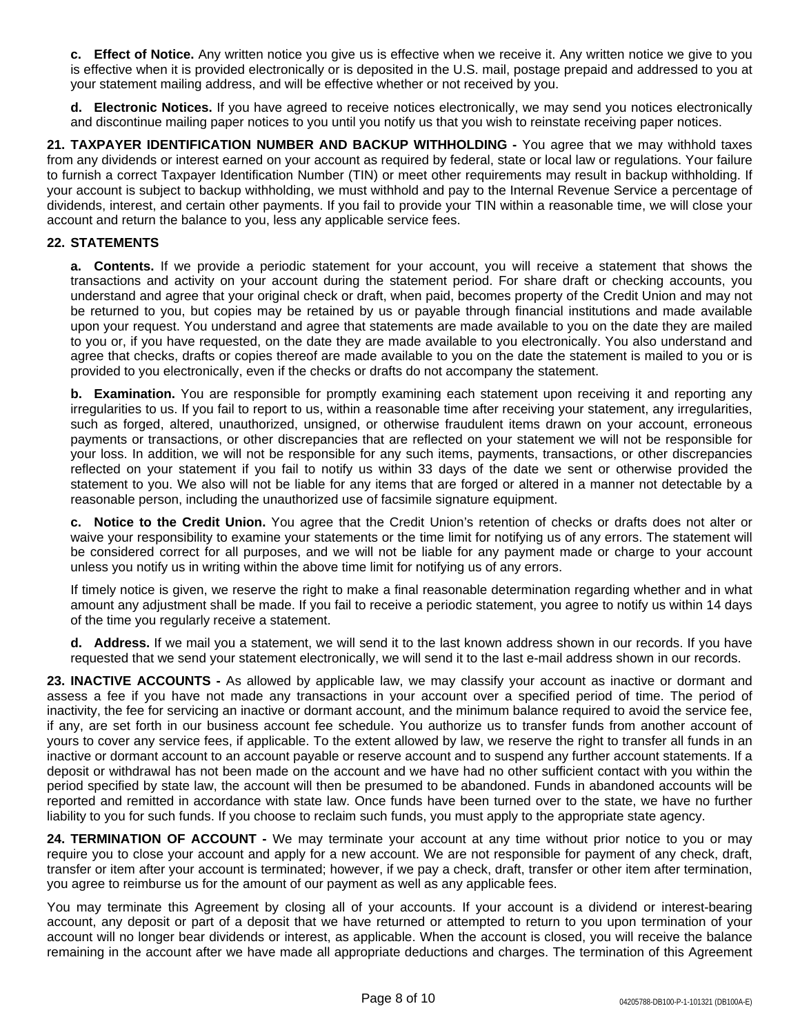**c. Effect of Notice.** Any written notice you give us is effective when we receive it. Any written notice we give to you is effective when it is provided electronically or is deposited in the U.S. mail, postage prepaid and addressed to you at your statement mailing address, and will be effective whether or not received by you.

**d. Electronic Notices.** If you have agreed to receive notices electronically, we may send you notices electronically and discontinue mailing paper notices to you until you notify us that you wish to reinstate receiving paper notices.

**21. TAXPAYER IDENTIFICATION NUMBER AND BACKUP WITHHOLDING -** You agree that we may withhold taxes from any dividends or interest earned on your account as required by federal, state or local law or regulations. Your failure to furnish a correct Taxpayer Identification Number (TIN) or meet other requirements may result in backup withholding. If your account is subject to backup withholding, we must withhold and pay to the Internal Revenue Service a percentage of dividends, interest, and certain other payments. If you fail to provide your TIN within a reasonable time, we will close your account and return the balance to you, less any applicable service fees.

### **22. STATEMENTS**

**a. Contents.** If we provide a periodic statement for your account, you will receive a statement that shows the transactions and activity on your account during the statement period. For share draft or checking accounts, you understand and agree that your original check or draft, when paid, becomes property of the Credit Union and may not be returned to you, but copies may be retained by us or payable through financial institutions and made available upon your request. You understand and agree that statements are made available to you on the date they are mailed to you or, if you have requested, on the date they are made available to you electronically. You also understand and agree that checks, drafts or copies thereof are made available to you on the date the statement is mailed to you or is provided to you electronically, even if the checks or drafts do not accompany the statement.

**b. Examination.** You are responsible for promptly examining each statement upon receiving it and reporting any irregularities to us. If you fail to report to us, within a reasonable time after receiving your statement, any irregularities, such as forged, altered, unauthorized, unsigned, or otherwise fraudulent items drawn on your account, erroneous payments or transactions, or other discrepancies that are reflected on your statement we will not be responsible for your loss. In addition, we will not be responsible for any such items, payments, transactions, or other discrepancies reflected on your statement if you fail to notify us within 33 days of the date we sent or otherwise provided the statement to you. We also will not be liable for any items that are forged or altered in a manner not detectable by a reasonable person, including the unauthorized use of facsimile signature equipment.

**c. Notice to the Credit Union.** You agree that the Credit Union's retention of checks or drafts does not alter or waive your responsibility to examine your statements or the time limit for notifying us of any errors. The statement will be considered correct for all purposes, and we will not be liable for any payment made or charge to your account unless you notify us in writing within the above time limit for notifying us of any errors.

If timely notice is given, we reserve the right to make a final reasonable determination regarding whether and in what amount any adjustment shall be made. If you fail to receive a periodic statement, you agree to notify us within 14 days of the time you regularly receive a statement.

**d. Address.** If we mail you a statement, we will send it to the last known address shown in our records. If you have requested that we send your statement electronically, we will send it to the last e-mail address shown in our records.

**23. INACTIVE ACCOUNTS -** As allowed by applicable law, we may classify your account as inactive or dormant and assess a fee if you have not made any transactions in your account over a specified period of time. The period of inactivity, the fee for servicing an inactive or dormant account, and the minimum balance required to avoid the service fee, if any, are set forth in our business account fee schedule. You authorize us to transfer funds from another account of yours to cover any service fees, if applicable. To the extent allowed by law, we reserve the right to transfer all funds in an inactive or dormant account to an account payable or reserve account and to suspend any further account statements. If a deposit or withdrawal has not been made on the account and we have had no other sufficient contact with you within the period specified by state law, the account will then be presumed to be abandoned. Funds in abandoned accounts will be reported and remitted in accordance with state law. Once funds have been turned over to the state, we have no further liability to you for such funds. If you choose to reclaim such funds, you must apply to the appropriate state agency.

**24. TERMINATION OF ACCOUNT -** We may terminate your account at any time without prior notice to you or may require you to close your account and apply for a new account. We are not responsible for payment of any check, draft, transfer or item after your account is terminated; however, if we pay a check, draft, transfer or other item after termination, you agree to reimburse us for the amount of our payment as well as any applicable fees.

You may terminate this Agreement by closing all of your accounts. If your account is a dividend or interest-bearing account, any deposit or part of a deposit that we have returned or attempted to return to you upon termination of your account will no longer bear dividends or interest, as applicable. When the account is closed, you will receive the balance remaining in the account after we have made all appropriate deductions and charges. The termination of this Agreement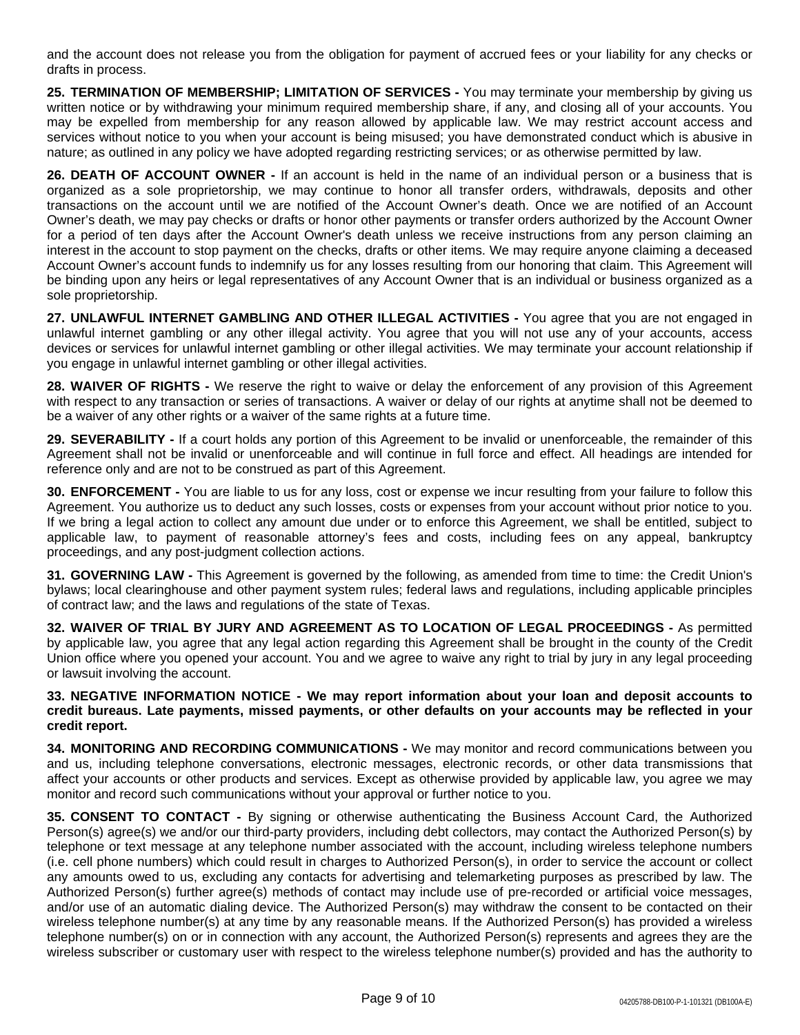and the account does not release you from the obligation for payment of accrued fees or your liability for any checks or drafts in process.

**25. TERMINATION OF MEMBERSHIP; LIMITATION OF SERVICES -** You may terminate your membership by giving us written notice or by withdrawing your minimum required membership share, if any, and closing all of your accounts. You may be expelled from membership for any reason allowed by applicable law. We may restrict account access and services without notice to you when your account is being misused; you have demonstrated conduct which is abusive in nature; as outlined in any policy we have adopted regarding restricting services; or as otherwise permitted by law.

**26. DEATH OF ACCOUNT OWNER -** If an account is held in the name of an individual person or a business that is organized as a sole proprietorship, we may continue to honor all transfer orders, withdrawals, deposits and other transactions on the account until we are notified of the Account Owner's death. Once we are notified of an Account Owner's death, we may pay checks or drafts or honor other payments or transfer orders authorized by the Account Owner for a period of ten days after the Account Owner's death unless we receive instructions from any person claiming an interest in the account to stop payment on the checks, drafts or other items. We may require anyone claiming a deceased Account Owner's account funds to indemnify us for any losses resulting from our honoring that claim. This Agreement will be binding upon any heirs or legal representatives of any Account Owner that is an individual or business organized as a sole proprietorship.

**27. UNLAWFUL INTERNET GAMBLING AND OTHER ILLEGAL ACTIVITIES -** You agree that you are not engaged in unlawful internet gambling or any other illegal activity. You agree that you will not use any of your accounts, access devices or services for unlawful internet gambling or other illegal activities. We may terminate your account relationship if you engage in unlawful internet gambling or other illegal activities.

**28. WAIVER OF RIGHTS -** We reserve the right to waive or delay the enforcement of any provision of this Agreement with respect to any transaction or series of transactions. A waiver or delay of our rights at anytime shall not be deemed to be a waiver of any other rights or a waiver of the same rights at a future time.

**29. SEVERABILITY -** If a court holds any portion of this Agreement to be invalid or unenforceable, the remainder of this Agreement shall not be invalid or unenforceable and will continue in full force and effect. All headings are intended for reference only and are not to be construed as part of this Agreement.

**30. ENFORCEMENT -** You are liable to us for any loss, cost or expense we incur resulting from your failure to follow this Agreement. You authorize us to deduct any such losses, costs or expenses from your account without prior notice to you. If we bring a legal action to collect any amount due under or to enforce this Agreement, we shall be entitled, subject to applicable law, to payment of reasonable attorney's fees and costs, including fees on any appeal, bankruptcy proceedings, and any post-judgment collection actions.

**31. GOVERNING LAW -** This Agreement is governed by the following, as amended from time to time: the Credit Union's bylaws; local clearinghouse and other payment system rules; federal laws and regulations, including applicable principles of contract law; and the laws and regulations of the state of Texas.

**32. WAIVER OF TRIAL BY JURY AND AGREEMENT AS TO LOCATION OF LEGAL PROCEEDINGS -** As permitted by applicable law, you agree that any legal action regarding this Agreement shall be brought in the county of the Credit Union office where you opened your account. You and we agree to waive any right to trial by jury in any legal proceeding or lawsuit involving the account.

**33. NEGATIVE INFORMATION NOTICE - We may report information about your loan and deposit accounts to** credit bureaus. Late payments, missed payments, or other defaults on your accounts may be reflected in your **credit report.**

**34. MONITORING AND RECORDING COMMUNICATIONS -** We may monitor and record communications between you and us, including telephone conversations, electronic messages, electronic records, or other data transmissions that affect your accounts or other products and services. Except as otherwise provided by applicable law, you agree we may monitor and record such communications without your approval or further notice to you.

**35. CONSENT TO CONTACT -** By signing or otherwise authenticating the Business Account Card, the Authorized Person(s) agree(s) we and/or our third-party providers, including debt collectors, may contact the Authorized Person(s) by telephone or text message at any telephone number associated with the account, including wireless telephone numbers (i.e. cell phone numbers) which could result in charges to Authorized Person(s), in order to service the account or collect any amounts owed to us, excluding any contacts for advertising and telemarketing purposes as prescribed by law. The Authorized Person(s) further agree(s) methods of contact may include use of pre-recorded or artificial voice messages, and/or use of an automatic dialing device. The Authorized Person(s) may withdraw the consent to be contacted on their wireless telephone number(s) at any time by any reasonable means. If the Authorized Person(s) has provided a wireless telephone number(s) on or in connection with any account, the Authorized Person(s) represents and agrees they are the wireless subscriber or customary user with respect to the wireless telephone number(s) provided and has the authority to